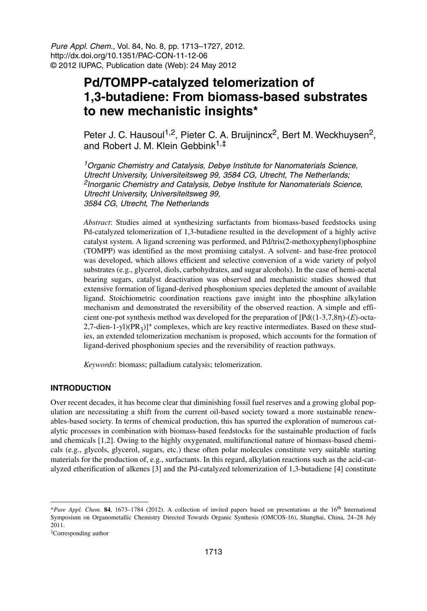Pure Appl. Chem., Vol. 84, No. 8, pp. 1713–1727, 2012. http://dx.doi.org/10.1351/PAC-CON-11-12-06 © 2012 IUPAC, Publication date (Web): 24 May 2012

# **Pd/TOMPP-catalyzed telomerization of 1,3-butadiene: From biomass-based substrates to new mechanistic insights\***

Peter J. C. Hausoul<sup>1,2</sup>, Pieter C. A. Bruijnincx<sup>2</sup>, Bert M. Weckhuysen<sup>2</sup>, and Robert J. M. Klein Gebbink1,‡

<sup>1</sup>Organic Chemistry and Catalysis, Debye Institute for Nanomaterials Science, Utrecht University, Universiteitsweg 99, 3584 CG, Utrecht, The Netherlands; <sup>2</sup>Inorganic Chemistry and Catalysis, Debye Institute for Nanomaterials Science, Utrecht University, Universiteitsweg 99, 3584 CG, Utrecht, The Netherlands

*Abstract*: Studies aimed at synthesizing surfactants from biomass-based feedstocks using Pd-catalyzed telomerization of 1,3-butadiene resulted in the development of a highly active catalyst system. A ligand screening was performed, and Pd/tris(2-methoxyphenyl)phosphine (TOMPP) was identified as the most promising catalyst. A solvent- and base-free protocol was developed, which allows efficient and selective conversion of a wide variety of polyol substrates (e.g., glycerol, diols, carbohydrates, and sugar alcohols). In the case of hemi-acetal bearing sugars, catalyst deactivation was observed and mechanistic studies showed that extensive formation of ligand-derived phosphonium species depleted the amount of available ligand. Stoichiometric coordination reactions gave insight into the phosphine alkylation mechanism and demonstrated the reversibility of the observed reaction. A simple and efficient one-pot synthesis method was developed for the preparation of [Pd((1-3,7,8η)-(*E*)-octa-2,7-dien-1-yl)( $PR_3$ )]<sup>+</sup> complexes, which are key reactive intermediates. Based on these studies, an extended telomerization mechanism is proposed, which accounts for the formation of ligand-derived phosphonium species and the reversibility of reaction pathways.

*Keywords*: biomass; palladium catalysis; telomerization.

## **INTRODUCTION**

Over recent decades, it has become clear that diminishing fossil fuel reserves and a growing global population are necessitating a shift from the current oil-based society toward a more sustainable renewables-based society. In terms of chemical production, this has spurred the exploration of numerous catalytic processes in combination with biomass-based feedstocks for the sustainable production of fuels and chemicals [1,2]. Owing to the highly oxygenated, multifunctional nature of biomass-based chemicals (e.g., glycols, glycerol, sugars, etc.) these often polar molecules constitute very suitable starting materials for the production of, e.g., surfactants. In this regard, alkylation reactions such as the acid-catalyzed etherification of alkenes [3] and the Pd-catalyzed telomerization of 1,3-butadiene [4] constitute

<sup>\*</sup>*Pure Appl. Chem*. **84**, 1673–1784 (2012). A collection of invited papers based on presentations at the 16th International Symposium on Organometallic Chemistry Directed Towards Organic Synthesis (OMCOS-16), Shanghai, China, 24–28 July 2011.

<sup>‡</sup>Corresponding author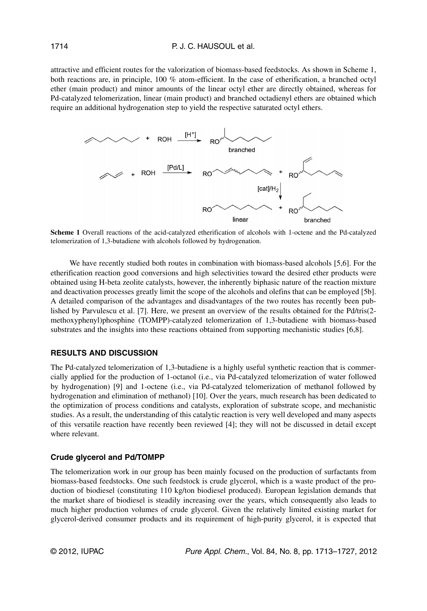attractive and efficient routes for the valorization of biomass-based feedstocks. As shown in Scheme 1, both reactions are, in principle, 100 % atom-efficient. In the case of etherification, a branched octyl ether (main product) and minor amounts of the linear octyl ether are directly obtained, whereas for Pd-catalyzed telomerization, linear (main product) and branched octadienyl ethers are obtained which require an additional hydrogenation step to yield the respective saturated octyl ethers.



**Scheme 1** Overall reactions of the acid-catalyzed etherification of alcohols with 1-octene and the Pd-catalyzed telomerization of 1,3-butadiene with alcohols followed by hydrogenation.

We have recently studied both routes in combination with biomass-based alcohols [5,6]. For the etherification reaction good conversions and high selectivities toward the desired ether products were obtained using H-beta zeolite catalysts, however, the inherently biphasic nature of the reaction mixture and deactivation processes greatly limit the scope of the alcohols and olefins that can be employed [5b]. A detailed comparison of the advantages and disadvantages of the two routes has recently been published by Parvulescu et al. [7]. Here, we present an overview of the results obtained for the Pd/tris(2 methoxyphenyl)phosphine (TOMPP)-catalyzed telomerization of 1,3-butadiene with biomass-based substrates and the insights into these reactions obtained from supporting mechanistic studies [6,8].

### **RESULTS AND DISCUSSION**

The Pd-catalyzed telomerization of 1,3-butadiene is a highly useful synthetic reaction that is commercially applied for the production of 1-octanol (i.e., via Pd-catalyzed telomerization of water followed by hydrogenation) [9] and 1-octene (i.e., via Pd-catalyzed telomerization of methanol followed by hydrogenation and elimination of methanol) [10]. Over the years, much research has been dedicated to the optimization of process conditions and catalysts, exploration of substrate scope, and mechanistic studies. As a result, the understanding of this catalytic reaction is very well developed and many aspects of this versatile reaction have recently been reviewed [4]; they will not be discussed in detail except where relevant.

#### **Crude glycerol and Pd/TOMPP**

The telomerization work in our group has been mainly focused on the production of surfactants from biomass-based feedstocks. One such feedstock is crude glycerol, which is a waste product of the production of biodiesel (constituting 110 kg/ton biodiesel produced). European legislation demands that the market share of biodiesel is steadily increasing over the years, which consequently also leads to much higher production volumes of crude glycerol. Given the relatively limited existing market for glycerol-derived consumer products and its requirement of high-purity glycerol, it is expected that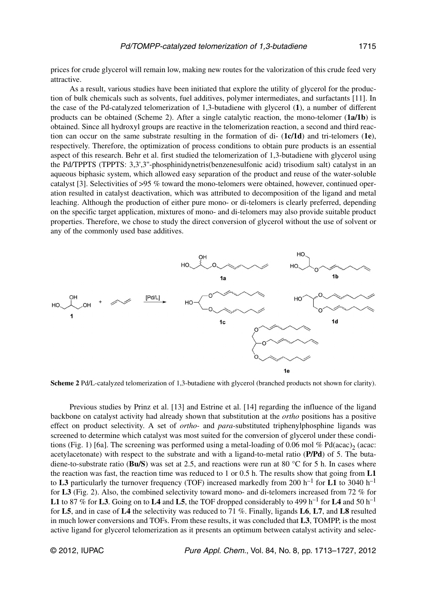prices for crude glycerol will remain low, making new routes for the valorization of this crude feed very attractive.

As a result, various studies have been initiated that explore the utility of glycerol for the production of bulk chemicals such as solvents, fuel additives, polymer intermediates, and surfactants [11]. In the case of the Pd-catalyzed telomerization of 1,3-butadiene with glycerol (**1**), a number of different products can be obtained (Scheme 2). After a single catalytic reaction, the mono-telomer (**1a/1b**) is obtained. Since all hydroxyl groups are reactive in the telomerization reaction, a second and third reaction can occur on the same substrate resulting in the formation of di- (**1c/1d**) and tri-telomers (**1e**), respectively. Therefore, the optimization of process conditions to obtain pure products is an essential aspect of this research. Behr et al. first studied the telomerization of 1,3-butadiene with glycerol using the Pd/TPPTS (TPPTS: 3,3',3''-phosphinidynetris(benzenesulfonic acid) trisodium salt) catalyst in an aqueous biphasic system, which allowed easy separation of the product and reuse of the water-soluble catalyst [3]. Selectivities of >95 % toward the mono-telomers were obtained, however, continued operation resulted in catalyst deactivation, which was attributed to decomposition of the ligand and metal leaching. Although the production of either pure mono- or di-telomers is clearly preferred, depending on the specific target application, mixtures of mono- and di-telomers may also provide suitable product properties. Therefore, we chose to study the direct conversion of glycerol without the use of solvent or any of the commonly used base additives.



**Scheme 2** Pd/L-catalyzed telomerization of 1,3-butadiene with glycerol (branched products not shown for clarity).

Previous studies by Prinz et al. [13] and Estrine et al. [14] regarding the influence of the ligand backbone on catalyst activity had already shown that substitution at the *ortho* positions has a positive effect on product selectivity. A set of *ortho-* and *para*-substituted triphenylphosphine ligands was screened to determine which catalyst was most suited for the conversion of glycerol under these conditions (Fig. 1) [6a]. The screening was performed using a metal-loading of 0.06 mol % Pd(acac), (acac: acetylacetonate) with respect to the substrate and with a ligand-to-metal ratio (P/Pd) of 5. The butadiene-to-substrate ratio (**Bu/S**) was set at 2.5, and reactions were run at 80 °C for 5 h. In cases where the reaction was fast, the reaction time was reduced to 1 or 0.5 h. The results show that going from **L1** to **L3** particularly the turnover frequency (TOF) increased markedly from 200 h<sup>-1</sup> for **L1** to 3040 h<sup>-1</sup> for **L3** (Fig. 2). Also, the combined selectivity toward mono- and di-telomers increased from 72 % for **L1** to 87 % for **L3**. Going on to **L4** and **L5**, the TOF dropped considerably to 499 h<sup>-1</sup> for **L4** and 50 h<sup>-1</sup> for **L5**, and in case of **L4** the selectivity was reduced to 71 %. Finally, ligands **L6**, **L7**, and **L8** resulted in much lower conversions and TOFs. From these results, it was concluded that **L3**, TOMPP, is the most active ligand for glycerol telomerization as it presents an optimum between catalyst activity and selec-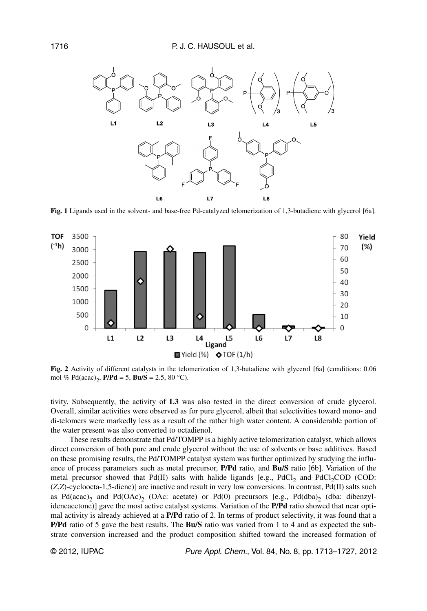

**Fig. 1** Ligands used in the solvent- and base-free Pd-catalyzed telomerization of 1,3-butadiene with glycerol [6a].



**Fig. 2** Activity of different catalysts in the telomerization of 1,3-butadiene with glycerol [6a] (conditions: 0.06 mol % Pd(acac)<sub>2</sub>, **P/Pd** = 5, **Bu/S** = 2.5, 80 °C).

tivity. Subsequently, the activity of **L3** was also tested in the direct conversion of crude glycerol. Overall, similar activities were observed as for pure glycerol, albeit that selectivities toward mono- and di-telomers were markedly less as a result of the rather high water content. A considerable portion of the water present was also converted to octadienol.

These results demonstrate that Pd/TOMPP is a highly active telomerization catalyst, which allows direct conversion of both pure and crude glycerol without the use of solvents or base additives. Based on these promising results, the Pd/TOMPP catalyst system was further optimized by studying the influence of process parameters such as metal precursor, **P/Pd** ratio, and **Bu/S** ratio [6b]. Variation of the metal precursor showed that  $Pd(II)$  salts with halide ligands [e.g., PdCl<sub>2</sub> and PdCl<sub>2</sub>COD (COD: (*Z*,*Z*)-cycloocta-1,5-diene)] are inactive and result in very low conversions. In contrast, Pd(II) salts such as Pd(acac)<sub>2</sub> and Pd(OAc)<sub>2</sub> (OAc: acetate) or Pd(0) precursors [e.g., Pd(dba)<sub>2</sub> (dba: dibenzylideneacetone)] gave the most active catalyst systems. Variation of the **P/Pd** ratio showed that near optimal activity is already achieved at a **P/Pd** ratio of 2. In terms of product selectivity, it was found that a **P/Pd** ratio of 5 gave the best results. The **Bu/S** ratio was varied from 1 to 4 and as expected the substrate conversion increased and the product composition shifted toward the increased formation of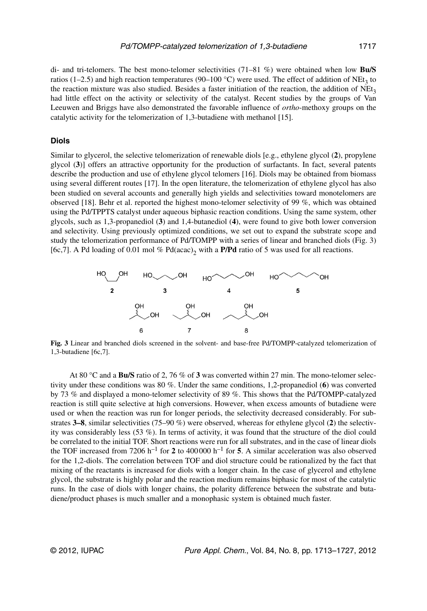di- and tri-telomers. The best mono-telomer selectivities (71–81 %) were obtained when low **Bu/S** ratios (1–2.5) and high reaction temperatures (90–100 °C) were used. The effect of addition of NEt<sub>3</sub> to the reaction mixture was also studied. Besides a faster initiation of the reaction, the addition of  $NEt<sub>3</sub>$ had little effect on the activity or selectivity of the catalyst. Recent studies by the groups of Van Leeuwen and Briggs have also demonstrated the favorable influence of *ortho*-methoxy groups on the catalytic activity for the telomerization of 1,3-butadiene with methanol [15].

#### **Diols**

Similar to glycerol, the selective telomerization of renewable diols [e.g., ethylene glycol (**2**), propylene glycol (**3**)] offers an attractive opportunity for the production of surfactants. In fact, several patents describe the production and use of ethylene glycol telomers [16]. Diols may be obtained from biomass using several different routes [17]. In the open literature, the telomerization of ethylene glycol has also been studied on several accounts and generally high yields and selectivities toward monotelomers are observed [18]. Behr et al. reported the highest mono-telomer selectivity of 99 %, which was obtained using the Pd/TPPTS catalyst under aqueous biphasic reaction conditions. Using the same system, other glycols, such as 1,3-propanediol (**3**) and 1,4-butanediol (**4**), were found to give both lower conversion and selectivity. Using previously optimized conditions, we set out to expand the substrate scope and study the telomerization performance of Pd/TOMPP with a series of linear and branched diols (Fig. 3) [6c,7]. A Pd loading of 0.01 mol % Pd(acac)<sub>2</sub> with a **P/Pd** ratio of 5 was used for all reactions.



**Fig. 3** Linear and branched diols screened in the solvent- and base-free Pd/TOMPP-catalyzed telomerization of 1,3-butadiene [6c,7].

At 80 °C and a **Bu/S** ratio of 2, 76 % of **3** was converted within 27 min. The mono-telomer selectivity under these conditions was 80 %. Under the same conditions, 1,2-propanediol (**6**) was converted by 73 % and displayed a mono-telomer selectivity of 89 %. This shows that the Pd/TOMPP-catalyzed reaction is still quite selective at high conversions. However, when excess amounts of butadiene were used or when the reaction was run for longer periods, the selectivity decreased considerably. For substrates **3–8**, similar selectivities (75–90 %) were observed, whereas for ethylene glycol (**2**) the selectivity was considerably less (53 %). In terms of activity, it was found that the structure of the diol could be correlated to the initial TOF. Short reactions were run for all substrates, and in the case of linear diols the TOF increased from 7206 h<sup>-1</sup> for **2** to 400 000 h<sup>-1</sup> for **5**. A similar acceleration was also observed for the 1,2-diols. The correlation between TOF and diol structure could be rationalized by the fact that mixing of the reactants is increased for diols with a longer chain. In the case of glycerol and ethylene glycol, the substrate is highly polar and the reaction medium remains biphasic for most of the catalytic runs. In the case of diols with longer chains, the polarity difference between the substrate and butadiene/product phases is much smaller and a monophasic system is obtained much faster.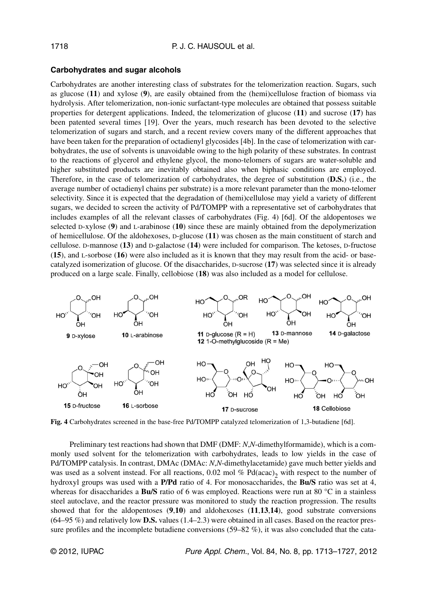## **Carbohydrates and sugar alcohols**

Carbohydrates are another interesting class of substrates for the telomerization reaction. Sugars, such as glucose (**11**) and xylose (**9**), are easily obtained from the (hemi)cellulose fraction of biomass via hydrolysis. After telomerization, non-ionic surfactant-type molecules are obtained that possess suitable properties for detergent applications. Indeed, the telomerization of glucose (**11**) and sucrose (**17**) has been patented several times [19]. Over the years, much research has been devoted to the selective telomerization of sugars and starch, and a recent review covers many of the different approaches that have been taken for the preparation of octadienyl glycosides [4b]. In the case of telomerization with carbohydrates, the use of solvents is unavoidable owing to the high polarity of these substrates. In contrast to the reactions of glycerol and ethylene glycol, the mono-telomers of sugars are water-soluble and higher substituted products are inevitably obtained also when biphasic conditions are employed. Therefore, in the case of telomerization of carbohydrates, the degree of substitution (**D.S.**) (i.e., the average number of octadienyl chains per substrate) is a more relevant parameter than the mono-telomer selectivity. Since it is expected that the degradation of (hemi)cellulose may yield a variety of different sugars, we decided to screen the activity of Pd/TOMPP with a representative set of carbohydrates that includes examples of all the relevant classes of carbohydrates (Fig. 4) [6d]. Of the aldopentoses we selected D-xylose (**9**) and L-arabinose (**10**) since these are mainly obtained from the depolymerization of hemicellulose. Of the aldohexoses, D-glucose (**11**) was chosen as the main constituent of starch and cellulose. D-mannose (**13**) and D-galactose (**14**) were included for comparison. The ketoses, D-fructose (**15**), and L-sorbose (**16**) were also included as it is known that they may result from the acid- or basecatalyzed isomerization of glucose. Of the disaccharides, D-sucrose (**17**) was selected since it is already produced on a large scale. Finally, cellobiose (**18**) was also included as a model for cellulose.



**Fig. 4** Carbohydrates screened in the base-free Pd/TOMPP catalyzed telomerization of 1,3-butadiene [6d].

Preliminary test reactions had shown that DMF (DMF: *N*,*N*-dimethylformamide), which is a commonly used solvent for the telomerization with carbohydrates, leads to low yields in the case of Pd/TOMPP catalysis. In contrast, DMAc (DMAc: *N*,*N*-dimethylacetamide) gave much better yields and was used as a solvent instead. For all reactions, 0.02 mol % Pd(acac)<sub>2</sub> with respect to the number of hydroxyl groups was used with a **P/Pd** ratio of 4. For monosaccharides, the **Bu/S** ratio was set at 4, whereas for disaccharides a **Bu/S** ratio of 6 was employed. Reactions were run at 80 °C in a stainless steel autoclave, and the reactor pressure was monitored to study the reaction progression. The results showed that for the aldopentoses (**9**,**10**) and aldohexoses (**11**,**13**,**14**), good substrate conversions (64–95 %) and relatively low **D.S.** values (1.4–2.3) were obtained in all cases. Based on the reactor pressure profiles and the incomplete butadiene conversions (59–82 %), it was also concluded that the cata-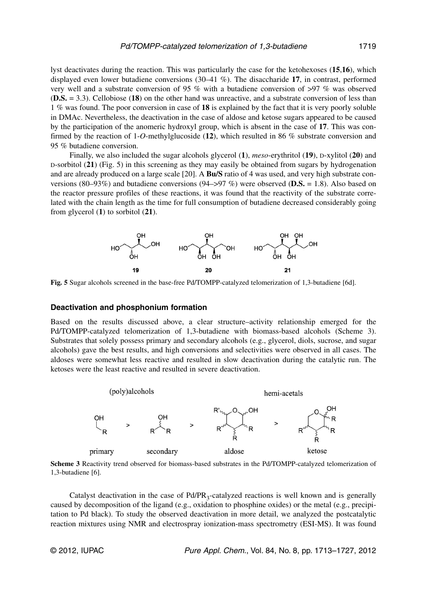lyst deactivates during the reaction. This was particularly the case for the ketohexoses (**15**,**16**), which displayed even lower butadiene conversions (30–41 %). The disaccharide **17**, in contrast, performed very well and a substrate conversion of 95 % with a butadiene conversion of >97 % was observed (**D.S.** = 3.3). Cellobiose (**18**) on the other hand was unreactive, and a substrate conversion of less than 1 % was found. The poor conversion in case of **18** is explained by the fact that it is very poorly soluble in DMAc. Nevertheless, the deactivation in the case of aldose and ketose sugars appeared to be caused by the participation of the anomeric hydroxyl group, which is absent in the case of **17**. This was confirmed by the reaction of 1-*O*-methylglucoside (**12**), which resulted in 86 % substrate conversion and 95 % butadiene conversion.

Finally, we also included the sugar alcohols glycerol (**1**), *meso*-erythritol (**19**), D-xylitol (**20**) and D-sorbitol (**21**) (Fig. 5) in this screening as they may easily be obtained from sugars by hydrogenation and are already produced on a large scale [20]. A **Bu/S** ratio of 4 was used, and very high substrate conversions (80–93%) and butadiene conversions (94–>97 %) were observed (**D.S.** = 1.8). Also based on the reactor pressure profiles of these reactions, it was found that the reactivity of the substrate correlated with the chain length as the time for full consumption of butadiene decreased considerably going from glycerol (**1**) to sorbitol (**21**).



**Fig. 5** Sugar alcohols screened in the base-free Pd/TOMPP-catalyzed telomerization of 1,3-butadiene [6d].

#### **Deactivation and phosphonium formation**

Based on the results discussed above, a clear structure–activity relationship emerged for the Pd/TOMPP-catalyzed telomerization of 1,3-butadiene with biomass-based alcohols (Scheme 3). Substrates that solely possess primary and secondary alcohols (e.g., glycerol, diols, sucrose, and sugar alcohols) gave the best results, and high conversions and selectivities were observed in all cases. The aldoses were somewhat less reactive and resulted in slow deactivation during the catalytic run. The ketoses were the least reactive and resulted in severe deactivation.



**Scheme 3** Reactivity trend observed for biomass-based substrates in the Pd/TOMPP-catalyzed telomerization of 1,3-butadiene [6].

Catalyst deactivation in the case of  $Pd/PR_3$ -catalyzed reactions is well known and is generally caused by decomposition of the ligand (e.g., oxidation to phosphine oxides) or the metal (e.g., precipitation to Pd black). To study the observed deactivation in more detail, we analyzed the postcatalytic reaction mixtures using NMR and electrospray ionization-mass spectrometry (ESI-MS). It was found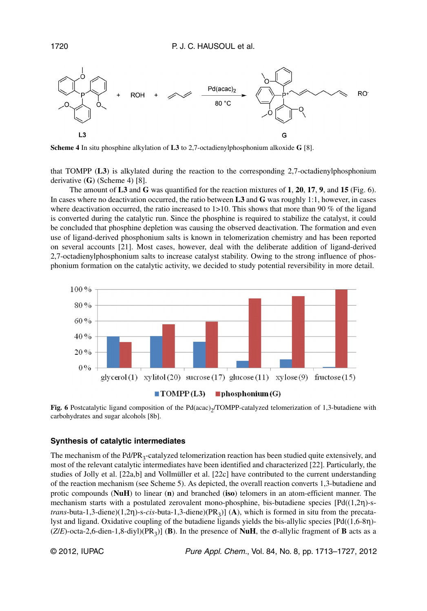

**Scheme 4** In situ phosphine alkylation of **L3** to 2,7-octadienylphosphonium alkoxide **G** [8].

that TOMPP (**L3**) is alkylated during the reaction to the corresponding 2,7-octadienylphosphonium derivative (**G**) (Scheme 4) [8].

The amount of **L3** and **G** was quantified for the reaction mixtures of **1**, **20**, **17**, **9**, and **15** (Fig. 6). In cases where no deactivation occurred, the ratio between **L3** and **G** was roughly 1:1, however, in cases where deactivation occurred, the ratio increased to 1>10. This shows that more than 90 % of the ligand is converted during the catalytic run. Since the phosphine is required to stabilize the catalyst, it could be concluded that phosphine depletion was causing the observed deactivation. The formation and even use of ligand-derived phosphonium salts is known in telomerization chemistry and has been reported on several accounts [21]. Most cases, however, deal with the deliberate addition of ligand-derived 2,7-octadienylphosphonium salts to increase catalyst stability. Owing to the strong influence of phosphonium formation on the catalytic activity, we decided to study potential reversibility in more detail.



**Fig. 6** Postcatalytic ligand composition of the Pd(acac)<sub>2</sub>/TOMPP-catalyzed telomerization of 1,3-butadiene with carbohydrates and sugar alcohols [8b].

#### **Synthesis of catalytic intermediates**

The mechanism of the  $Pd/PR_3$ -catalyzed telomerization reaction has been studied quite extensively, and most of the relevant catalytic intermediates have been identified and characterized [22]. Particularly, the studies of Jolly et al. [22a,b] and Vollmüller et al. [22c] have contributed to the current understanding of the reaction mechanism (see Scheme 5). As depicted, the overall reaction converts 1,3-butadiene and protic compounds (**NuH**) to linear (**n**) and branched (**iso**) telomers in an atom-efficient manner. The mechanism starts with a postulated zerovalent mono-phosphine, bis-butadiene species [Pd((1,2η)-s*trans*-buta-1,3-diene)(1,2η)-s-*cis*-buta-1,3-diene)(PR<sub>3</sub>)] (**A**), which is formed in situ from the precatalyst and ligand. Oxidative coupling of the butadiene ligands yields the bis-allylic species [Pd((1,6-8η)-  $(Z/E)$ -octa-2,6-dien-1,8-diyl)(PR<sub>3</sub>)] (**B**). In the presence of **NuH**, the  $\sigma$ -allylic fragment of **B** acts as a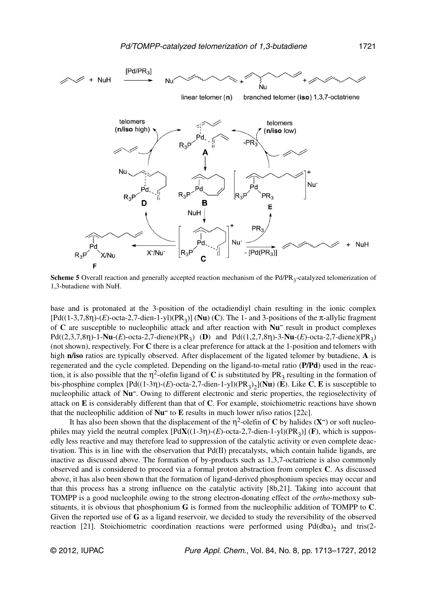

**Scheme 5** Overall reaction and generally accepted reaction mechanism of the Pd/PR<sub>3</sub>-catalyzed telomerization of 1,3-butadiene with NuH.

base and is protonated at the 3-position of the octadiendiyl chain resulting in the ionic complex [Pd((1-3,7,8η)-(*E*)-octa-2,7-dien-1-yl)(PR3)] (**Nu**) (**C**). The 1- and 3-positions of the π-allylic fragment of **C** are susceptible to nucleophilic attack and after reaction with **Nu–** result in product complexes Pd((2,3,7,8η)-1-**Nu**-(*E*)-octa-2,7-diene)(PR3) (**D**) and Pd((1,2,7,8η)-3-**Nu**-(*E*)-octa-2,7-diene)(PR3) (not shown), respectively. For **C** there is a clear preference for attack at the 1-position and telomers with high **n/iso** ratios are typically observed. After displacement of the ligated telomer by butadiene, **A** is regenerated and the cycle completed. Depending on the ligand-to-metal ratio (**P/Pd**) used in the reaction, it is also possible that the  $\eta^2$ -olefin ligand of **C** is substituted by PR<sub>3</sub> resulting in the formation of bis-phosphine complex  $[Pd((1-3\eta)-(E)-\text{octa-2},7-\text{dien-1-yl})(PR_3)_{2}]$ (**Nu**) (**E**). Like **C**, **E** is susceptible to nucleophilic attack of **Nu–**. Owing to different electronic and steric properties, the regioselectivity of attack on **E** is considerably different than that of **C**. For example, stoichiometric reactions have shown that the nucleophilic addition of **Nu–** to **E** results in much lower n/iso ratios [22c].

It has also been shown that the displacement of the  $\eta^2$ -olefin of **C** by halides (**X**<sup>-</sup>) or soft nucleophiles may yield the neutral complex [Pd**X**((1-3η)-(*E*)-octa-2,7-dien-1-yl)(PR3)] (**F**), which is supposedly less reactive and may therefore lead to suppression of the catalytic activity or even complete deactivation. This is in line with the observation that  $Pd(\Pi)$  precatalysts, which contain halide ligands, are inactive as discussed above. The formation of by-products such as 1,3,7-octatriene is also commonly observed and is considered to proceed via a formal proton abstraction from complex **C**. As discussed above, it has also been shown that the formation of ligand-derived phosphonium species may occur and that this process has a strong influence on the catalytic activity [8b,21]. Taking into account that TOMPP is a good nucleophile owing to the strong electron-donating effect of the *ortho*-methoxy substituents, it is obvious that phosphonium **G** is formed from the nucleophilic addition of TOMPP to **C**. Given the reported use of **G** as a ligand reservoir, we decided to study the reversibility of the observed reaction [21]. Stoichiometric coordination reactions were performed using  $Pd(dba)_2$  and tris(2-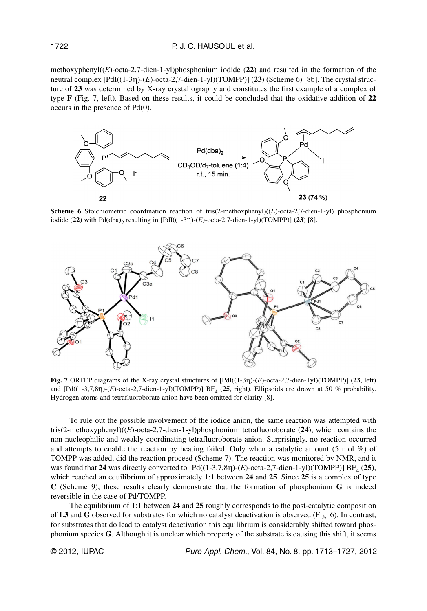methoxyphenyl((*E*)-octa-2,7-dien-1-yl)phosphonium iodide (**22**) and resulted in the formation of the neutral complex [PdI((1-3η)-(*E*)-octa-2,7-dien-1-yl)(TOMPP)] (**23**) (Scheme 6) [8b]. The crystal structure of **23** was determined by X-ray crystallography and constitutes the first example of a complex of type **F** (Fig. 7, left). Based on these results, it could be concluded that the oxidative addition of **22** occurs in the presence of Pd(0).



**Scheme 6** Stoichiometric coordination reaction of tris(2-methoxphenyl)((*E*)-octa-2,7-dien-1-yl) phosphonium iodide (22) with Pd(dba)<sub>2</sub> resulting in [PdI((1-3η)-(*E*)-octa-2,7-dien-1-yl)(TOMPP)] (23) [8].



**Fig. 7** ORTEP diagrams of the X-ray crystal structures of [PdI((1-3η)-(*E*)-octa-2,7-dien-1yl)(TOMPP)] (**23**, left) and [Pd((1-3,7,8η)-(*E*)-octa-2,7-dien-1-yl)(TOMPP)] BF<sub>4</sub> (25, right). Ellipsoids are drawn at 50 % probability. Hydrogen atoms and tetrafluoroborate anion have been omitted for clarity [8].

To rule out the possible involvement of the iodide anion, the same reaction was attempted with tris(2-methoxyphenyl)((*E*)-octa-2,7-dien-1-yl)phosphonium tetrafluoroborate (**24**), which contains the non-nucleophilic and weakly coordinating tetrafluoroborate anion. Surprisingly, no reaction occurred and attempts to enable the reaction by heating failed. Only when a catalytic amount  $(5 \text{ mol } \%)$  of TOMPP was added, did the reaction proceed (Scheme 7). The reaction was monitored by NMR, and it was found that **24** was directly converted to  $[Pd((1-3,7,8n)-(E)-octa-2,7-dien-1-y])(TOMP)$   $BF<sub>A</sub>$  (25), which reached an equilibrium of approximately 1:1 between **24** and **25**. Since **25** is a complex of type **C** (Scheme 9), these results clearly demonstrate that the formation of phosphonium **G** is indeed reversible in the case of Pd/TOMPP.

The equilibrium of 1:1 between **24** and **25** roughly corresponds to the post-catalytic composition of **L3** and **G** observed for substrates for which no catalyst deactivation is observed (Fig. 6). In contrast, for substrates that do lead to catalyst deactivation this equilibrium is considerably shifted toward phosphonium species **G**. Although it is unclear which property of the substrate is causing this shift, it seems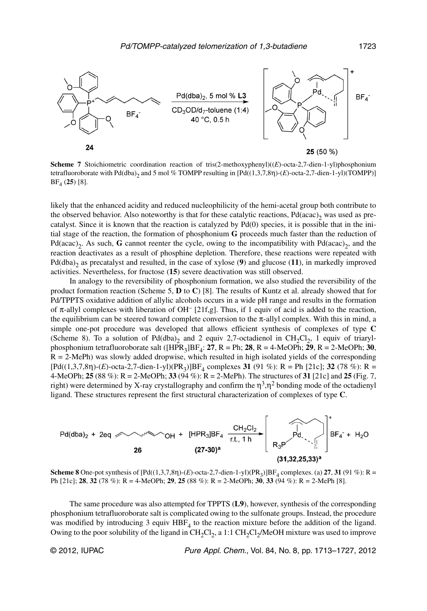

**Scheme 7** Stoichiometric coordination reaction of tris(2-methoxyphenyl)((*E*)-octa-2,7-dien-1-yl)phosphonium tetrafluoroborate with Pd(dba)<sub>2</sub> and 5 mol % TOMPP resulting in [Pd((1,3,7,8η)-(*E*)-octa-2,7-dien-1-yl)(TOMPP)] BF4 (**25**) [8].

likely that the enhanced acidity and reduced nucleophilicity of the hemi-acetal group both contribute to the observed behavior. Also noteworthy is that for these catalytic reactions,  $Pd(acac)$ <sub>2</sub> was used as precatalyst. Since it is known that the reaction is catalyzed by Pd(0) species, it is possible that in the initial stage of the reaction, the formation of phosphonium **G** proceeds much faster than the reduction of Pd(acac)<sub>2</sub>. As such, **G** cannot reenter the cycle, owing to the incompatibility with Pd(acac)<sub>2</sub>, and the reaction deactivates as a result of phosphine depletion. Therefore, these reactions were repeated with  $Pd(dba)$ <sub>2</sub> as precatalyst and resulted, in the case of xylose (**9**) and glucose (**11**), in markedly improved activities. Nevertheless, for fructose (**15**) severe deactivation was still observed.

In analogy to the reversibility of phosphonium formation, we also studied the reversibility of the product formation reaction (Scheme 5, **D** to **C**) [8]. The results of Kuntz et al. already showed that for Pd/TPPTS oxidative addition of allylic alcohols occurs in a wide pH range and results in the formation of π-allyl complexes with liberation of OH<sup>-</sup> [21f,g]. Thus, if 1 equiv of acid is added to the reaction, the equilibrium can be steered toward complete conversion to the  $\pi$ -allyl complex. With this in mind, a simple one-pot procedure was developed that allows efficient synthesis of complexes of type **C** (Scheme 8). To a solution of Pd(dba)<sub>2</sub> and 2 equiv 2,7-octadienol in CH<sub>2</sub>Cl<sub>2</sub>, 1 equiv of triaryl phosphonium tetrafluoroborate salt ( $[HPR_3]BF_4$ : 27, R = Ph; 28, R = 4-MeOPh; 29, R = 2-MeOPh; 30,  $R = 2-MePh$ ) was slowly added dropwise, which resulted in high isolated yields of the corresponding  $[Pd((1,3,7,8n)-(E)-octa-2,7-dien-1-y](PR_3)]BF_4$  complexes **31** (91 %): R = Ph [21c]; **32** (78 %): R = 4-MeOPh; **25** (88 %): R = 2-MeOPh; **33** (94 %): R = 2-MePh). The structures of **31** [21c] and **25** (Fig. 7, right) were determined by X-ray crystallography and confirm the  $\eta^3$ , $\eta^2$  bonding mode of the octadienyl ligand. These structures represent the first structural characterization of complexes of type **C**.



**Scheme 8** One-pot synthesis of  $[Pd((1,3,7,8n)-(E)-octa-2,7-dien-1-y](PR_3)$ ]BF<sub>4</sub> complexes. (a) **27, 31** (91 %): R = Ph [21c]; **28**, **32** (78 %): R = 4-MeOPh; **29**, **25** (88 %): R = 2-MeOPh; **30**, **33** (94 %): R = 2-MePh [8].

The same procedure was also attempted for TPPTS (**L9**), however, synthesis of the corresponding phosphonium tetrafluoroborate salt is complicated owing to the sulfonate groups. Instead, the procedure was modified by introducing 3 equiv  $HBF<sub>4</sub>$  to the reaction mixture before the addition of the ligand. Owing to the poor solubility of the ligand in  $CH_2Cl_2$ , a 1:1  $CH_2Cl_2/MeOH$  mixture was used to improve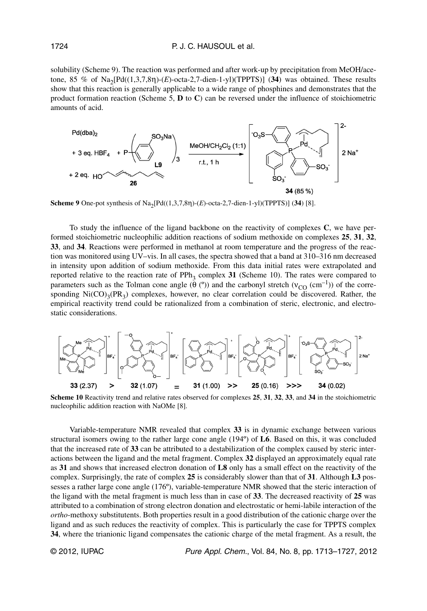solubility (Scheme 9). The reaction was performed and after work-up by precipitation from MeOH/acetone, 85 % of Na<sub>2</sub>[Pd((1,3,7,8η)-(*E*)-octa-2,7-dien-1-yl)(TPPTS)] (34) was obtained. These results show that this reaction is generally applicable to a wide range of phosphines and demonstrates that the product formation reaction (Scheme 5, **D** to **C**) can be reversed under the influence of stoichiometric amounts of acid.



**Scheme 9** One-pot synthesis of Na<sub>2</sub>[Pd((1,3,7,8η)-(*E*)-octa-2,7-dien-1-yl)(TPPTS)] (34) [8].

To study the influence of the ligand backbone on the reactivity of complexes **C**, we have performed stoichiometric nucleophilic addition reactions of sodium methoxide on complexes **25**, **31**, **32**, **33**, and **34**. Reactions were performed in methanol at room temperature and the progress of the reaction was monitored using UV–vis. In all cases, the spectra showed that a band at 310–316 nm decreased in intensity upon addition of sodium methoxide. From this data initial rates were extrapolated and reported relative to the reaction rate of  $PPh<sub>3</sub>$  complex 31 (Scheme 10). The rates were compared to parameters such as the Tolman cone angle  $(\hat{\theta}^{(0)})$  and the carbonyl stretch  $(v_{CO}^{(-1)})$  of the corresponding  $Ni(CO)_{3}(PR_{3})$  complexes, however, no clear correlation could be discovered. Rather, the empirical reactivity trend could be rationalized from a combination of steric, electronic, and electrostatic considerations.



**Scheme 10** Reactivity trend and relative rates observed for complexes **25**, **31**, **32**, **33**, and **34** in the stoichiometric nucleophilic addition reaction with NaOMe [8].

Variable-temperature NMR revealed that complex **33** is in dynamic exchange between various structural isomers owing to the rather large cone angle (194º) of **L6**. Based on this, it was concluded that the increased rate of **33** can be attributed to a destabilization of the complex caused by steric interactions between the ligand and the metal fragment. Complex **32** displayed an approximately equal rate as **31** and shows that increased electron donation of **L8** only has a small effect on the reactivity of the complex. Surprisingly, the rate of complex **25** is considerably slower than that of **31**. Although **L3** possesses a rather large cone angle (176º), variable-temperature NMR showed that the steric interaction of the ligand with the metal fragment is much less than in case of **33**. The decreased reactivity of **25** was attributed to a combination of strong electron donation and electrostatic or hemi-labile interaction of the *ortho*-methoxy substitutents. Both properties result in a good distribution of the cationic charge over the ligand and as such reduces the reactivity of complex. This is particularly the case for TPPTS complex **34**, where the trianionic ligand compensates the cationic charge of the metal fragment. As a result, the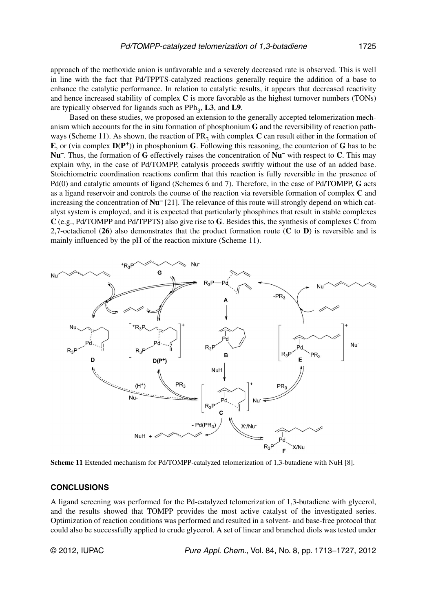approach of the methoxide anion is unfavorable and a severely decreased rate is observed. This is well in line with the fact that Pd/TPPTS-catalyzed reactions generally require the addition of a base to enhance the catalytic performance. In relation to catalytic results, it appears that decreased reactivity and hence increased stability of complex **C** is more favorable as the highest turnover numbers (TONs) are typically observed for ligands such as PPh<sub>3</sub>, L3, and L9.

Based on these studies, we proposed an extension to the generally accepted telomerization mechanism which accounts for the in situ formation of phosphonium **G** and the reversibility of reaction pathways (Scheme 11). As shown, the reaction of  $PR<sub>3</sub>$  with complex **C** can result either in the formation of **E**, or (via complex  $D(P^+)$ ) in phosphonium **G**. Following this reasoning, the counterion of **G** has to be **Nu–**. Thus, the formation of **G** effectively raises the concentration of **Nu–** with respect to **C**. This may explain why, in the case of Pd/TOMPP, catalysis proceeds swiftly without the use of an added base. Stoichiometric coordination reactions confirm that this reaction is fully reversible in the presence of Pd(0) and catalytic amounts of ligand (Schemes 6 and 7). Therefore, in the case of Pd/TOMPP, **G** acts as a ligand reservoir and controls the course of the reaction via reversible formation of complex **C** and increasing the concentration of **Nu–** [21]. The relevance of this route will strongly depend on which catalyst system is employed, and it is expected that particularly phosphines that result in stable complexes **C** (e.g., Pd/TOMPP and Pd/TPPTS) also give rise to **G**. Besides this, the synthesis of complexes **C** from 2,7-octadienol (**26**) also demonstrates that the product formation route (**C** to **D**) is reversible and is mainly influenced by the pH of the reaction mixture (Scheme 11).



**Scheme 11** Extended mechanism for Pd/TOMPP-catalyzed telomerization of 1,3-butadiene with NuH [8].

#### **CONCLUSIONS**

A ligand screening was performed for the Pd-catalyzed telomerization of 1,3-butadiene with glycerol, and the results showed that TOMPP provides the most active catalyst of the investigated series. Optimization of reaction conditions was performed and resulted in a solvent- and base-free protocol that could also be successfully applied to crude glycerol. A set of linear and branched diols was tested under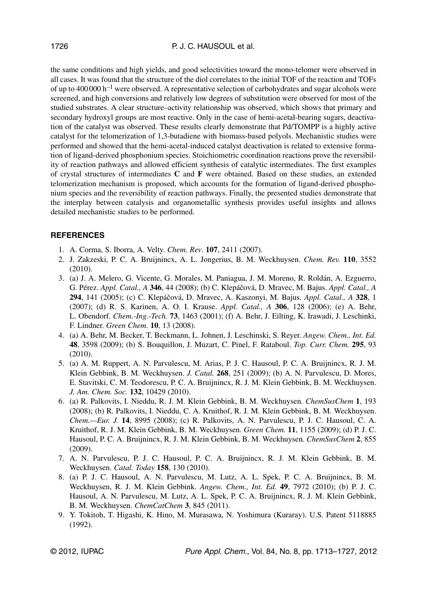the same conditions and high yields, and good selectivities toward the mono-telomer were observed in all cases. It was found that the structure of the diol correlates to the initial TOF of the reaction and TOFs of up to 400 000  $h^{-1}$  were observed. A representative selection of carbohydrates and sugar alcohols were screened, and high conversions and relatively low degrees of substitution were observed for most of the studied substrates. A clear structure–activity relationship was observed, which shows that primary and secondary hydroxyl groups are most reactive. Only in the case of hemi-acetal-bearing sugars, deactivation of the catalyst was observed. These results clearly demonstrate that Pd/TOMPP is a highly active catalyst for the telomerization of 1,3-butadiene with biomass-based polyols. Mechanistic studies were performed and showed that the hemi-acetal-induced catalyst deactivation is related to extensive formation of ligand-derived phosphonium species. Stoichiometric coordination reactions prove the reversibility of reaction pathways and allowed efficient synthesis of catalytic intermediates. The first examples of crystal structures of intermediates **C** and **F** were obtained. Based on these studies, an extended telomerization mechanism is proposed, which accounts for the formation of ligand-derived phosphonium species and the reversibility of reaction pathways. Finally, the presented studies demonstrate that the interplay between catalysis and organometallic synthesis provides useful insights and allows detailed mechanistic studies to be performed.

## **REFERENCES**

- 1. A. Corma, S. Iborra, A. Velty. *Chem. Rev*. **107**, 2411 (2007).
- 2. J. Zakzeski, P. C. A. Bruijnincx, A. L. Jongerius, B. M. Weckhuysen. *Chem. Rev.* **110**, 3552 (2010).
- 3. (a) J. A. Melero, G. Vicente, G. Morales, M. Paniagua, J. M. Moreno, R. Roldán, A. Ezguerro, G. Pérez. *Appl. Catal., A* **346**, 44 (2008); (b) C. Klepáčová, D. Mravec, M. Bajus. *Appl. Catal., A* **294**, 141 (2005); (c) C. Klepáčová, D. Mravec, A. Kaszonyi, M. Bajus. *Appl. Catal., A* **328**, 1 (2007); (d) R. S. Karinen, A. O. I. Krause. *Appl. Catal., A* **306**, 128 (2006); (e) A. Behr, L. Obendorf. *Chem.-Ing.-Tech.* **73**, 1463 (2001); (f) A. Behr, J. Eilting, K. Irawadi, J. Leschinki, F. Lindner. *Green Chem.* **10**, 13 (2008).
- 4. (a) A. Behr, M. Becker, T. Beckmann, L. Johnen, J. Leschinski, S. Reyer. *Angew. Chem., Int. Ed.* **48**, 3598 (2009); (b) S. Bouquillon, J. Muzart, C. Pinel, F. Rataboul. *Top. Curr. Chem.* **295**, 93 (2010).
- 5. (a) A. M. Ruppert, A. N. Parvulescu, M. Arias, P. J. C. Hausoul, P. C. A. Bruijnincx, R. J. M. Klein Gebbink, B. M. Weckhuysen. *J. Catal.* **268**, 251 (2009); (b) A. N. Parvulescu, D. Mores, E. Stavitski, C. M. Teodorescu, P. C. A. Bruijnincx, R. J. M. Klein Gebbink, B. M. Weckhuysen. *J. Am. Chem. Soc.* **132**, 10429 (2010).
- 6. (a) R. Palkovits, I. Nieddu, R. J. M. Klein Gebbink, B. M. Weckhuysen. *ChemSusChem* **1**, 193 (2008); (b) R. Palkovits, I. Nieddu, C. A. Kruithof, R. J. M. Klein Gebbink, B. M. Weckhuysen. *Chem.—Eur. J.* **14**, 8995 (2008); (c) R. Palkovits, A. N. Parvulescu, P. J. C. Hausoul, C. A. Kruithof, R. J. M. Klein Gebbink, B. M. Weckhuysen. *Green Chem.* **11**, 1155 (2009); (d) P. J. C. Hausoul, P. C. A. Bruijnincx, R. J. M. Klein Gebbink, B. M. Weckhuysen. *ChemSusChem* **2**, 855 (2009).
- 7. A. N. Parvulescu, P. J. C. Hausoul, P. C. A. Bruijnincx, R. J. M. Klein Gebbink, B. M. Weckhuysen. *Catal. Today* **158**, 130 (2010).
- 8. (a) P. J. C. Hausoul, A. N. Parvulescu, M. Lutz, A. L. Spek, P. C. A. Bruijnincx, B. M. Weckhuysen, R. J. M. Klein Gebbink. *Angew. Chem., Int. Ed.* **49**, 7972 (2010); (b) P. J. C. Hausoul, A. N. Parvulescu, M. Lutz, A. L. Spek, P. C. A. Bruijnincx, R. J. M. Klein Gebbink, B. M. Weckhuysen. *ChemCatChem* **3**, 845 (2011).
- 9. Y. Tokitoh, T. Higashi, K. Hino, M. Murasawa, N. Yoshimura (Kuraray). U.S. Patent 5118885 (1992).